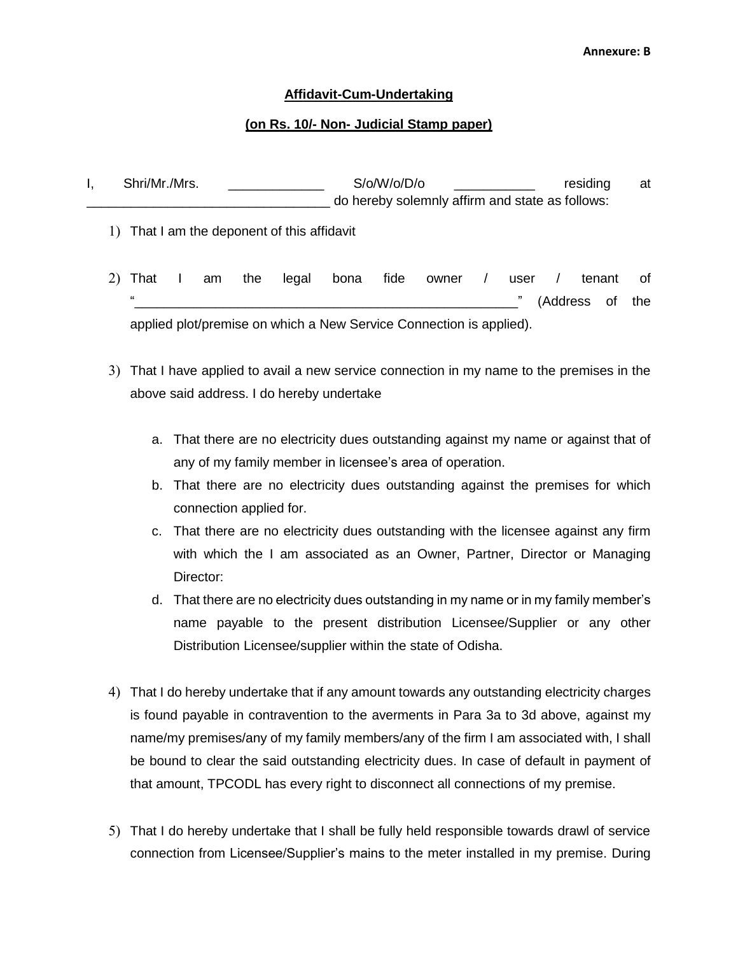## **Affidavit-Cum-Undertaking**

## **(on Rs. 10/- Non- Judicial Stamp paper)**

| Shri/Mr./Mrs. | S/o/W/o/D/o | residing                                        | at |
|---------------|-------------|-------------------------------------------------|----|
|               |             | do hereby solemnly affirm and state as follows: |    |

- 1) That I am the deponent of this affidavit
- 2) That I am the legal bona fide owner / user / tenant of " (Address of the applied plot/premise on which a New Service Connection is applied).
- 3) That I have applied to avail a new service connection in my name to the premises in the above said address. I do hereby undertake
	- a. That there are no electricity dues outstanding against my name or against that of any of my family member in licensee's area of operation.
	- b. That there are no electricity dues outstanding against the premises for which connection applied for.
	- c. That there are no electricity dues outstanding with the licensee against any firm with which the I am associated as an Owner, Partner, Director or Managing Director:
	- d. That there are no electricity dues outstanding in my name or in my family member's name payable to the present distribution Licensee/Supplier or any other Distribution Licensee/supplier within the state of Odisha.
- 4) That I do hereby undertake that if any amount towards any outstanding electricity charges is found payable in contravention to the averments in Para 3a to 3d above, against my name/my premises/any of my family members/any of the firm I am associated with, I shall be bound to clear the said outstanding electricity dues. In case of default in payment of that amount, TPCODL has every right to disconnect all connections of my premise.
- 5) That I do hereby undertake that I shall be fully held responsible towards drawl of service connection from Licensee/Supplier's mains to the meter installed in my premise. During